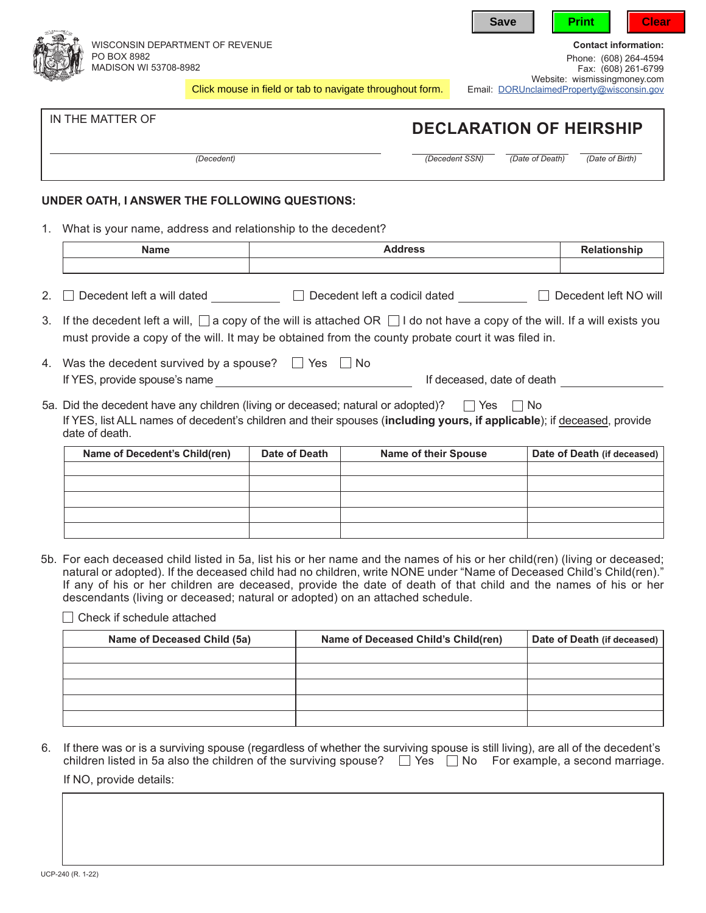

Г

**Contact information:**

Click mouse in field or tab to navigate throughout form.

 Phone: (608) 264-4594 Fax: (608) 261-6799 Website: wismissingmoney.com

**Save | | Print | | Clear** 

Email[: DORUnclaimedProperty@wisconsin.gov](mailto:DORUnclaimedProperty@revenue.wi.gov)

| IN THE MATTER OF                                                               | <b>DECLARATION OF HEIRSHIP</b> |                 |                 |  |
|--------------------------------------------------------------------------------|--------------------------------|-----------------|-----------------|--|
| (Decedent)                                                                     | (Decedent SSN)                 | (Date of Death) | (Date of Birth) |  |
| UNDER OATH, I ANSWER THE FOLLOWING QUESTIONS:                                  |                                |                 |                 |  |
| What is your name, address and relationship to the decedent?<br>$\mathbf{1}$ . |                                |                 |                 |  |

|    | <b>Name</b>                                                                                                                                                                                                                                  | <b>Address</b>                  | <b>Relationship</b>   |  |
|----|----------------------------------------------------------------------------------------------------------------------------------------------------------------------------------------------------------------------------------------------|---------------------------------|-----------------------|--|
|    |                                                                                                                                                                                                                                              |                                 |                       |  |
| 2. | Decedent left a will dated                                                                                                                                                                                                                   | │ Decedent left a codicil dated | Decedent left NO will |  |
|    | 3. If the decedent left a will, $\Box$ a copy of the will is attached OR $\Box$ I do not have a copy of the will. If a will exists you<br>must provide a copy of the will. It may be obtained from the county probate court it was filed in. |                                 |                       |  |
|    | 4. Was the decedent survived by a spouse? $\Box$ Yes $\Box$ No<br>If YES, provide spouse's name                                                                                                                                              | If deceased, date of death      |                       |  |
|    |                                                                                                                                                                                                                                              | $\blacksquare$                  |                       |  |

5a. Did the decedent have any children (living or deceased; natural or adopted)?  $\Box$  Yes  $\Box$  No If YES, list ALL names of decedent's children and their spouses (**including yours, if applicable**); if deceased, provide date of death.

| Name of Decedent's Child(ren) | Date of Death | <b>Name of their Spouse</b> | Date of Death (if deceased) |
|-------------------------------|---------------|-----------------------------|-----------------------------|
|                               |               |                             |                             |
|                               |               |                             |                             |
|                               |               |                             |                             |
|                               |               |                             |                             |
|                               |               |                             |                             |

5b. For each deceased child listed in 5a, list his or her name and the names of his or her child(ren) (living or deceased; natural or adopted). If the deceased child had no children, write NONE under "Name of Deceased Child's Child(ren)." If any of his or her children are deceased, provide the date of death of that child and the names of his or her descendants (living or deceased; natural or adopted) on an attached schedule.

Check if schedule attached

| Name of Deceased Child (5a) | Name of Deceased Child's Child(ren) | Date of Death (if deceased) |
|-----------------------------|-------------------------------------|-----------------------------|
|                             |                                     |                             |
|                             |                                     |                             |
|                             |                                     |                             |
|                             |                                     |                             |
|                             |                                     |                             |

6. If there was or is a surviving spouse (regardless of whether the surviving spouse is still living), are all of the decedent's children listed in 5a also the children of the surviving spouse?  $\Box$  Yes  $\Box$  No For example, a second marriage. If NO, provide details: